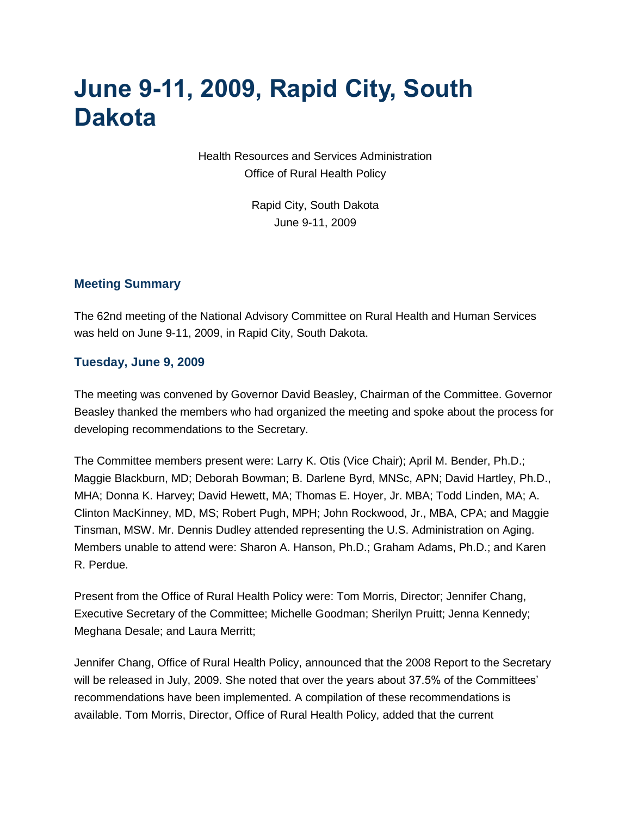# **June 9-11, 2009, Rapid City, South Dakota**

Health Resources and Services Administration Office of Rural Health Policy

> Rapid City, South Dakota June 9-11, 2009

#### **Meeting Summary**

The 62nd meeting of the National Advisory Committee on Rural Health and Human Services was held on June 9-11, 2009, in Rapid City, South Dakota.

#### **Tuesday, June 9, 2009**

The meeting was convened by Governor David Beasley, Chairman of the Committee. Governor Beasley thanked the members who had organized the meeting and spoke about the process for developing recommendations to the Secretary.

The Committee members present were: Larry K. Otis (Vice Chair); April M. Bender, Ph.D.; Maggie Blackburn, MD; Deborah Bowman; B. Darlene Byrd, MNSc, APN; David Hartley, Ph.D., MHA; Donna K. Harvey; David Hewett, MA; Thomas E. Hoyer, Jr. MBA; Todd Linden, MA; A. Clinton MacKinney, MD, MS; Robert Pugh, MPH; John Rockwood, Jr., MBA, CPA; and Maggie Tinsman, MSW. Mr. Dennis Dudley attended representing the U.S. Administration on Aging. Members unable to attend were: Sharon A. Hanson, Ph.D.; Graham Adams, Ph.D.; and Karen R. Perdue.

Present from the Office of Rural Health Policy were: Tom Morris, Director; Jennifer Chang, Executive Secretary of the Committee; Michelle Goodman; Sherilyn Pruitt; Jenna Kennedy; Meghana Desale; and Laura Merritt;

Jennifer Chang, Office of Rural Health Policy, announced that the 2008 Report to the Secretary will be released in July, 2009. She noted that over the years about 37.5% of the Committees' recommendations have been implemented. A compilation of these recommendations is available. Tom Morris, Director, Office of Rural Health Policy, added that the current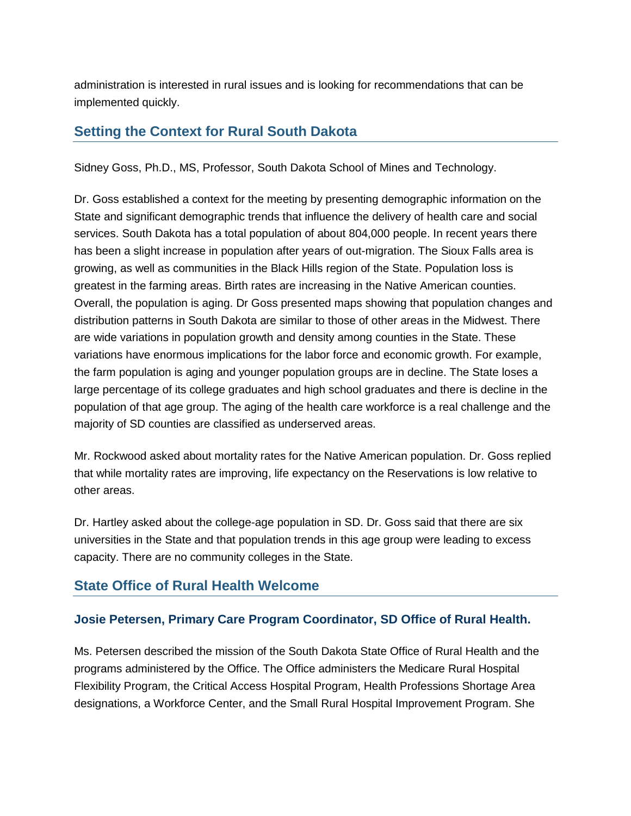administration is interested in rural issues and is looking for recommendations that can be implemented quickly.

# **Setting the Context for Rural South Dakota**

Sidney Goss, Ph.D., MS, Professor, South Dakota School of Mines and Technology.

Dr. Goss established a context for the meeting by presenting demographic information on the State and significant demographic trends that influence the delivery of health care and social services. South Dakota has a total population of about 804,000 people. In recent years there has been a slight increase in population after years of out-migration. The Sioux Falls area is growing, as well as communities in the Black Hills region of the State. Population loss is greatest in the farming areas. Birth rates are increasing in the Native American counties. Overall, the population is aging. Dr Goss presented maps showing that population changes and distribution patterns in South Dakota are similar to those of other areas in the Midwest. There are wide variations in population growth and density among counties in the State. These variations have enormous implications for the labor force and economic growth. For example, the farm population is aging and younger population groups are in decline. The State loses a large percentage of its college graduates and high school graduates and there is decline in the population of that age group. The aging of the health care workforce is a real challenge and the majority of SD counties are classified as underserved areas.

Mr. Rockwood asked about mortality rates for the Native American population. Dr. Goss replied that while mortality rates are improving, life expectancy on the Reservations is low relative to other areas.

Dr. Hartley asked about the college-age population in SD. Dr. Goss said that there are six universities in the State and that population trends in this age group were leading to excess capacity. There are no community colleges in the State.

# **State Office of Rural Health Welcome**

#### **Josie Petersen, Primary Care Program Coordinator, SD Office of Rural Health.**

Ms. Petersen described the mission of the South Dakota State Office of Rural Health and the programs administered by the Office. The Office administers the Medicare Rural Hospital Flexibility Program, the Critical Access Hospital Program, Health Professions Shortage Area designations, a Workforce Center, and the Small Rural Hospital Improvement Program. She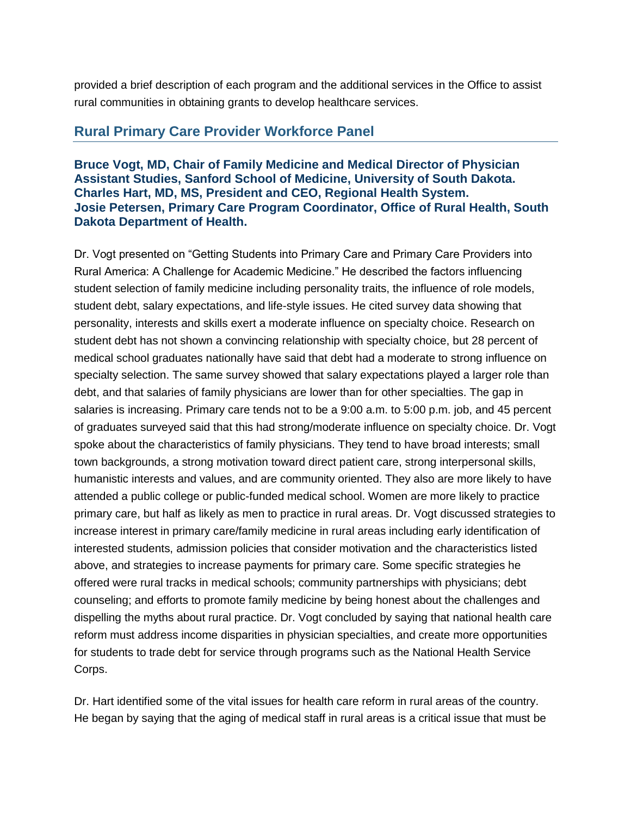provided a brief description of each program and the additional services in the Office to assist rural communities in obtaining grants to develop healthcare services.

# **Rural Primary Care Provider Workforce Panel**

#### **Bruce Vogt, MD, Chair of Family Medicine and Medical Director of Physician Assistant Studies, Sanford School of Medicine, University of South Dakota. Charles Hart, MD, MS, President and CEO, Regional Health System. Josie Petersen, Primary Care Program Coordinator, Office of Rural Health, South Dakota Department of Health.**

Dr. Vogt presented on "Getting Students into Primary Care and Primary Care Providers into Rural America: A Challenge for Academic Medicine." He described the factors influencing student selection of family medicine including personality traits, the influence of role models, student debt, salary expectations, and life-style issues. He cited survey data showing that personality, interests and skills exert a moderate influence on specialty choice. Research on student debt has not shown a convincing relationship with specialty choice, but 28 percent of medical school graduates nationally have said that debt had a moderate to strong influence on specialty selection. The same survey showed that salary expectations played a larger role than debt, and that salaries of family physicians are lower than for other specialties. The gap in salaries is increasing. Primary care tends not to be a 9:00 a.m. to 5:00 p.m. job, and 45 percent of graduates surveyed said that this had strong/moderate influence on specialty choice. Dr. Vogt spoke about the characteristics of family physicians. They tend to have broad interests; small town backgrounds, a strong motivation toward direct patient care, strong interpersonal skills, humanistic interests and values, and are community oriented. They also are more likely to have attended a public college or public-funded medical school. Women are more likely to practice primary care, but half as likely as men to practice in rural areas. Dr. Vogt discussed strategies to increase interest in primary care/family medicine in rural areas including early identification of interested students, admission policies that consider motivation and the characteristics listed above, and strategies to increase payments for primary care. Some specific strategies he offered were rural tracks in medical schools; community partnerships with physicians; debt counseling; and efforts to promote family medicine by being honest about the challenges and dispelling the myths about rural practice. Dr. Vogt concluded by saying that national health care reform must address income disparities in physician specialties, and create more opportunities for students to trade debt for service through programs such as the National Health Service Corps.

Dr. Hart identified some of the vital issues for health care reform in rural areas of the country. He began by saying that the aging of medical staff in rural areas is a critical issue that must be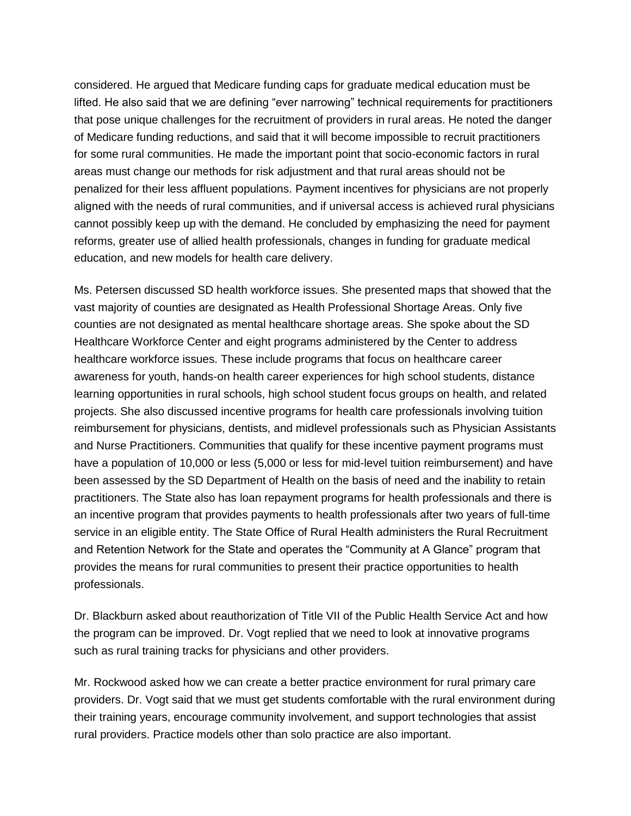considered. He argued that Medicare funding caps for graduate medical education must be lifted. He also said that we are defining "ever narrowing" technical requirements for practitioners that pose unique challenges for the recruitment of providers in rural areas. He noted the danger of Medicare funding reductions, and said that it will become impossible to recruit practitioners for some rural communities. He made the important point that socio-economic factors in rural areas must change our methods for risk adjustment and that rural areas should not be penalized for their less affluent populations. Payment incentives for physicians are not properly aligned with the needs of rural communities, and if universal access is achieved rural physicians cannot possibly keep up with the demand. He concluded by emphasizing the need for payment reforms, greater use of allied health professionals, changes in funding for graduate medical education, and new models for health care delivery.

Ms. Petersen discussed SD health workforce issues. She presented maps that showed that the vast majority of counties are designated as Health Professional Shortage Areas. Only five counties are not designated as mental healthcare shortage areas. She spoke about the SD Healthcare Workforce Center and eight programs administered by the Center to address healthcare workforce issues. These include programs that focus on healthcare career awareness for youth, hands-on health career experiences for high school students, distance learning opportunities in rural schools, high school student focus groups on health, and related projects. She also discussed incentive programs for health care professionals involving tuition reimbursement for physicians, dentists, and midlevel professionals such as Physician Assistants and Nurse Practitioners. Communities that qualify for these incentive payment programs must have a population of 10,000 or less (5,000 or less for mid-level tuition reimbursement) and have been assessed by the SD Department of Health on the basis of need and the inability to retain practitioners. The State also has loan repayment programs for health professionals and there is an incentive program that provides payments to health professionals after two years of full-time service in an eligible entity. The State Office of Rural Health administers the Rural Recruitment and Retention Network for the State and operates the "Community at A Glance" program that provides the means for rural communities to present their practice opportunities to health professionals.

Dr. Blackburn asked about reauthorization of Title VII of the Public Health Service Act and how the program can be improved. Dr. Vogt replied that we need to look at innovative programs such as rural training tracks for physicians and other providers.

Mr. Rockwood asked how we can create a better practice environment for rural primary care providers. Dr. Vogt said that we must get students comfortable with the rural environment during their training years, encourage community involvement, and support technologies that assist rural providers. Practice models other than solo practice are also important.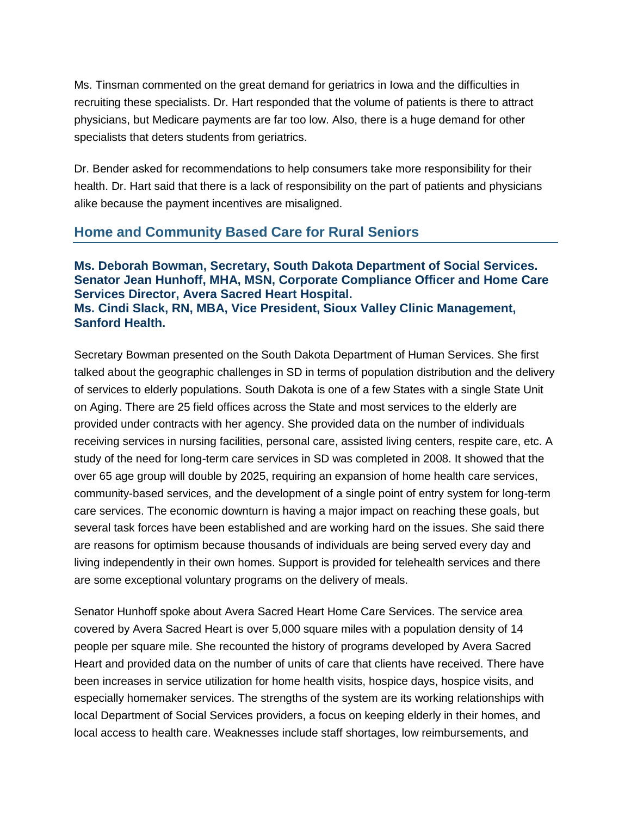Ms. Tinsman commented on the great demand for geriatrics in Iowa and the difficulties in recruiting these specialists. Dr. Hart responded that the volume of patients is there to attract physicians, but Medicare payments are far too low. Also, there is a huge demand for other specialists that deters students from geriatrics.

Dr. Bender asked for recommendations to help consumers take more responsibility for their health. Dr. Hart said that there is a lack of responsibility on the part of patients and physicians alike because the payment incentives are misaligned.

## **Home and Community Based Care for Rural Seniors**

**Ms. Deborah Bowman, Secretary, South Dakota Department of Social Services. Senator Jean Hunhoff, MHA, MSN, Corporate Compliance Officer and Home Care Services Director, Avera Sacred Heart Hospital. Ms. Cindi Slack, RN, MBA, Vice President, Sioux Valley Clinic Management, Sanford Health.**

Secretary Bowman presented on the South Dakota Department of Human Services. She first talked about the geographic challenges in SD in terms of population distribution and the delivery of services to elderly populations. South Dakota is one of a few States with a single State Unit on Aging. There are 25 field offices across the State and most services to the elderly are provided under contracts with her agency. She provided data on the number of individuals receiving services in nursing facilities, personal care, assisted living centers, respite care, etc. A study of the need for long-term care services in SD was completed in 2008. It showed that the over 65 age group will double by 2025, requiring an expansion of home health care services, community-based services, and the development of a single point of entry system for long-term care services. The economic downturn is having a major impact on reaching these goals, but several task forces have been established and are working hard on the issues. She said there are reasons for optimism because thousands of individuals are being served every day and living independently in their own homes. Support is provided for telehealth services and there are some exceptional voluntary programs on the delivery of meals.

Senator Hunhoff spoke about Avera Sacred Heart Home Care Services. The service area covered by Avera Sacred Heart is over 5,000 square miles with a population density of 14 people per square mile. She recounted the history of programs developed by Avera Sacred Heart and provided data on the number of units of care that clients have received. There have been increases in service utilization for home health visits, hospice days, hospice visits, and especially homemaker services. The strengths of the system are its working relationships with local Department of Social Services providers, a focus on keeping elderly in their homes, and local access to health care. Weaknesses include staff shortages, low reimbursements, and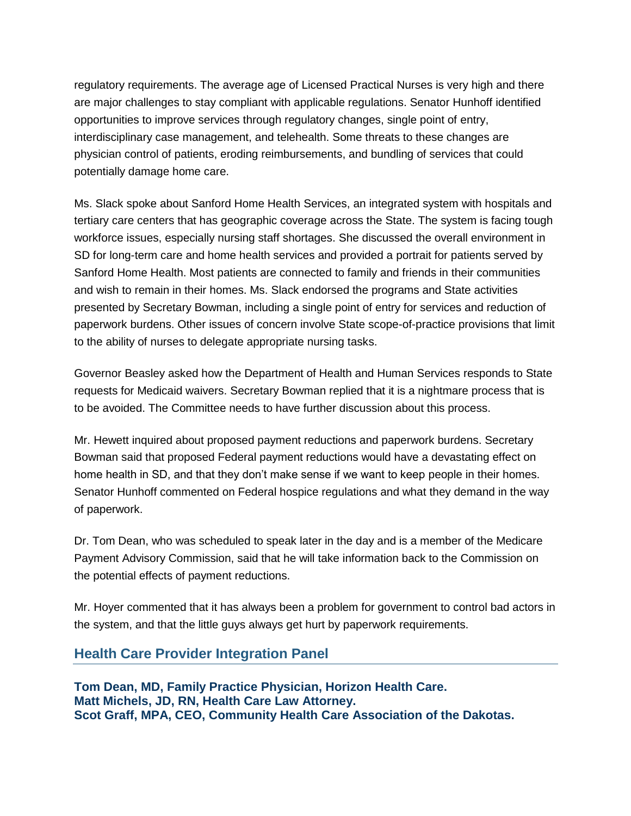regulatory requirements. The average age of Licensed Practical Nurses is very high and there are major challenges to stay compliant with applicable regulations. Senator Hunhoff identified opportunities to improve services through regulatory changes, single point of entry, interdisciplinary case management, and telehealth. Some threats to these changes are physician control of patients, eroding reimbursements, and bundling of services that could potentially damage home care.

Ms. Slack spoke about Sanford Home Health Services, an integrated system with hospitals and tertiary care centers that has geographic coverage across the State. The system is facing tough workforce issues, especially nursing staff shortages. She discussed the overall environment in SD for long-term care and home health services and provided a portrait for patients served by Sanford Home Health. Most patients are connected to family and friends in their communities and wish to remain in their homes. Ms. Slack endorsed the programs and State activities presented by Secretary Bowman, including a single point of entry for services and reduction of paperwork burdens. Other issues of concern involve State scope-of-practice provisions that limit to the ability of nurses to delegate appropriate nursing tasks.

Governor Beasley asked how the Department of Health and Human Services responds to State requests for Medicaid waivers. Secretary Bowman replied that it is a nightmare process that is to be avoided. The Committee needs to have further discussion about this process.

Mr. Hewett inquired about proposed payment reductions and paperwork burdens. Secretary Bowman said that proposed Federal payment reductions would have a devastating effect on home health in SD, and that they don't make sense if we want to keep people in their homes. Senator Hunhoff commented on Federal hospice regulations and what they demand in the way of paperwork.

Dr. Tom Dean, who was scheduled to speak later in the day and is a member of the Medicare Payment Advisory Commission, said that he will take information back to the Commission on the potential effects of payment reductions.

Mr. Hoyer commented that it has always been a problem for government to control bad actors in the system, and that the little guys always get hurt by paperwork requirements.

# **Health Care Provider Integration Panel**

**Tom Dean, MD, Family Practice Physician, Horizon Health Care. Matt Michels, JD, RN, Health Care Law Attorney. Scot Graff, MPA, CEO, Community Health Care Association of the Dakotas.**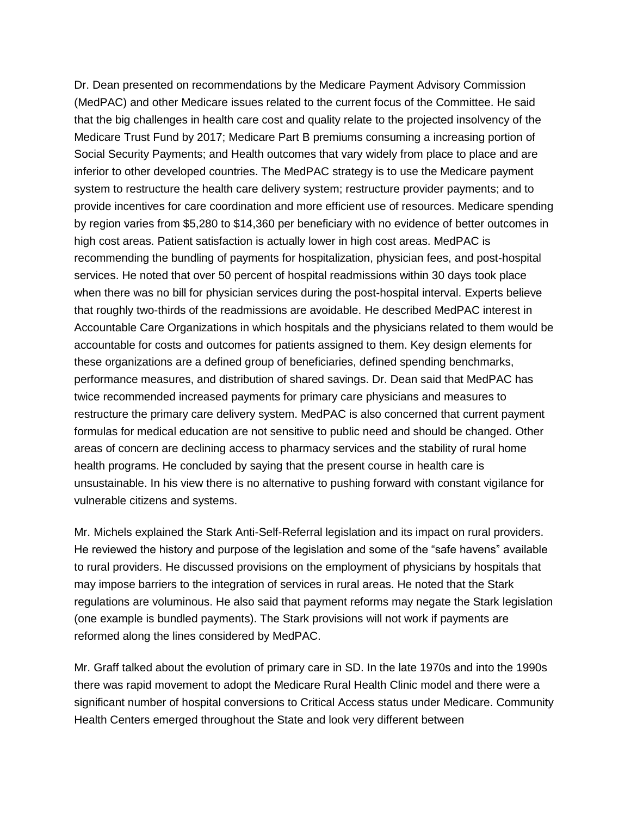Dr. Dean presented on recommendations by the Medicare Payment Advisory Commission (MedPAC) and other Medicare issues related to the current focus of the Committee. He said that the big challenges in health care cost and quality relate to the projected insolvency of the Medicare Trust Fund by 2017; Medicare Part B premiums consuming a increasing portion of Social Security Payments; and Health outcomes that vary widely from place to place and are inferior to other developed countries. The MedPAC strategy is to use the Medicare payment system to restructure the health care delivery system; restructure provider payments; and to provide incentives for care coordination and more efficient use of resources. Medicare spending by region varies from \$5,280 to \$14,360 per beneficiary with no evidence of better outcomes in high cost areas. Patient satisfaction is actually lower in high cost areas. MedPAC is recommending the bundling of payments for hospitalization, physician fees, and post-hospital services. He noted that over 50 percent of hospital readmissions within 30 days took place when there was no bill for physician services during the post-hospital interval. Experts believe that roughly two-thirds of the readmissions are avoidable. He described MedPAC interest in Accountable Care Organizations in which hospitals and the physicians related to them would be accountable for costs and outcomes for patients assigned to them. Key design elements for these organizations are a defined group of beneficiaries, defined spending benchmarks, performance measures, and distribution of shared savings. Dr. Dean said that MedPAC has twice recommended increased payments for primary care physicians and measures to restructure the primary care delivery system. MedPAC is also concerned that current payment formulas for medical education are not sensitive to public need and should be changed. Other areas of concern are declining access to pharmacy services and the stability of rural home health programs. He concluded by saying that the present course in health care is unsustainable. In his view there is no alternative to pushing forward with constant vigilance for vulnerable citizens and systems.

Mr. Michels explained the Stark Anti-Self-Referral legislation and its impact on rural providers. He reviewed the history and purpose of the legislation and some of the "safe havens" available to rural providers. He discussed provisions on the employment of physicians by hospitals that may impose barriers to the integration of services in rural areas. He noted that the Stark regulations are voluminous. He also said that payment reforms may negate the Stark legislation (one example is bundled payments). The Stark provisions will not work if payments are reformed along the lines considered by MedPAC.

Mr. Graff talked about the evolution of primary care in SD. In the late 1970s and into the 1990s there was rapid movement to adopt the Medicare Rural Health Clinic model and there were a significant number of hospital conversions to Critical Access status under Medicare. Community Health Centers emerged throughout the State and look very different between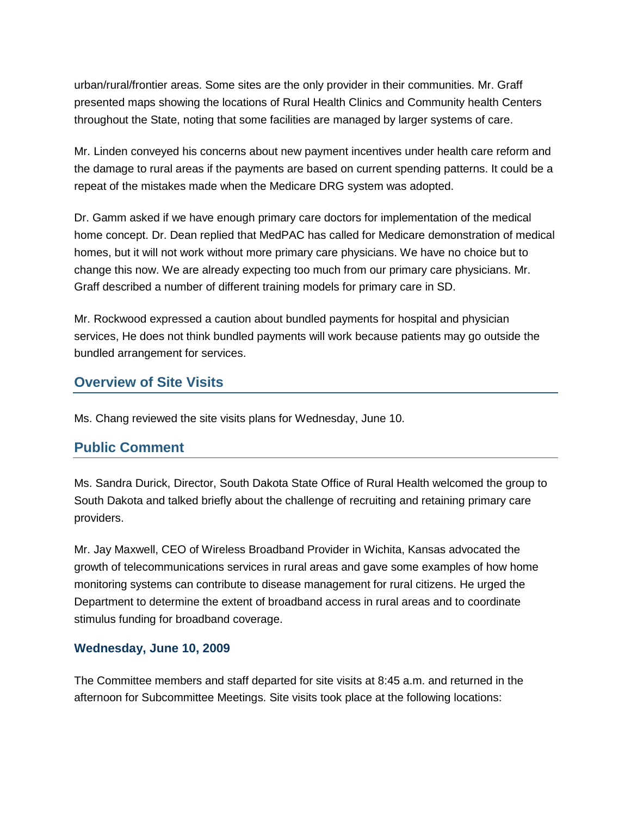urban/rural/frontier areas. Some sites are the only provider in their communities. Mr. Graff presented maps showing the locations of Rural Health Clinics and Community health Centers throughout the State, noting that some facilities are managed by larger systems of care.

Mr. Linden conveyed his concerns about new payment incentives under health care reform and the damage to rural areas if the payments are based on current spending patterns. It could be a repeat of the mistakes made when the Medicare DRG system was adopted.

Dr. Gamm asked if we have enough primary care doctors for implementation of the medical home concept. Dr. Dean replied that MedPAC has called for Medicare demonstration of medical homes, but it will not work without more primary care physicians. We have no choice but to change this now. We are already expecting too much from our primary care physicians. Mr. Graff described a number of different training models for primary care in SD.

Mr. Rockwood expressed a caution about bundled payments for hospital and physician services, He does not think bundled payments will work because patients may go outside the bundled arrangement for services.

#### **Overview of Site Visits**

Ms. Chang reviewed the site visits plans for Wednesday, June 10.

#### **Public Comment**

Ms. Sandra Durick, Director, South Dakota State Office of Rural Health welcomed the group to South Dakota and talked briefly about the challenge of recruiting and retaining primary care providers.

Mr. Jay Maxwell, CEO of Wireless Broadband Provider in Wichita, Kansas advocated the growth of telecommunications services in rural areas and gave some examples of how home monitoring systems can contribute to disease management for rural citizens. He urged the Department to determine the extent of broadband access in rural areas and to coordinate stimulus funding for broadband coverage.

#### **Wednesday, June 10, 2009**

The Committee members and staff departed for site visits at 8:45 a.m. and returned in the afternoon for Subcommittee Meetings. Site visits took place at the following locations: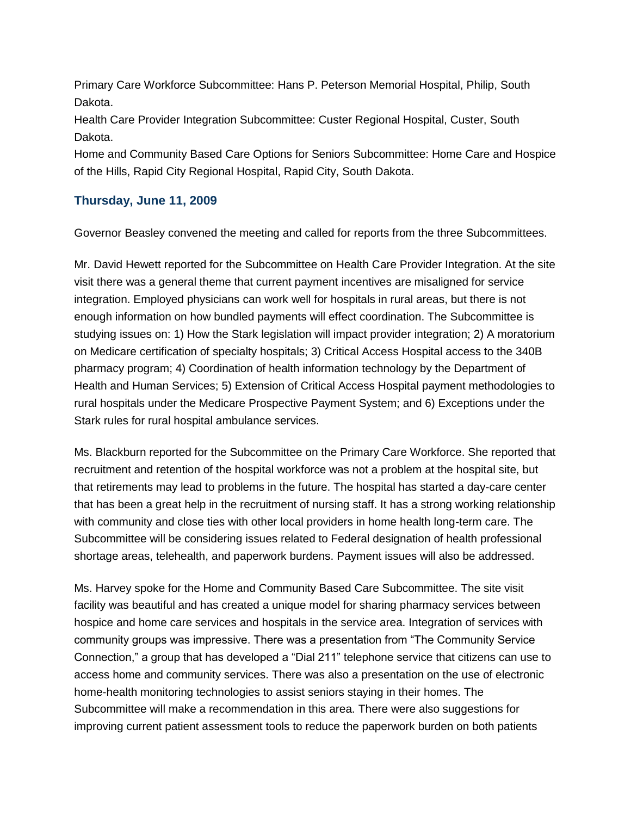Primary Care Workforce Subcommittee: Hans P. Peterson Memorial Hospital, Philip, South Dakota.

Health Care Provider Integration Subcommittee: Custer Regional Hospital, Custer, South Dakota.

Home and Community Based Care Options for Seniors Subcommittee: Home Care and Hospice of the Hills, Rapid City Regional Hospital, Rapid City, South Dakota.

#### **Thursday, June 11, 2009**

Governor Beasley convened the meeting and called for reports from the three Subcommittees.

Mr. David Hewett reported for the Subcommittee on Health Care Provider Integration. At the site visit there was a general theme that current payment incentives are misaligned for service integration. Employed physicians can work well for hospitals in rural areas, but there is not enough information on how bundled payments will effect coordination. The Subcommittee is studying issues on: 1) How the Stark legislation will impact provider integration; 2) A moratorium on Medicare certification of specialty hospitals; 3) Critical Access Hospital access to the 340B pharmacy program; 4) Coordination of health information technology by the Department of Health and Human Services; 5) Extension of Critical Access Hospital payment methodologies to rural hospitals under the Medicare Prospective Payment System; and 6) Exceptions under the Stark rules for rural hospital ambulance services.

Ms. Blackburn reported for the Subcommittee on the Primary Care Workforce. She reported that recruitment and retention of the hospital workforce was not a problem at the hospital site, but that retirements may lead to problems in the future. The hospital has started a day-care center that has been a great help in the recruitment of nursing staff. It has a strong working relationship with community and close ties with other local providers in home health long-term care. The Subcommittee will be considering issues related to Federal designation of health professional shortage areas, telehealth, and paperwork burdens. Payment issues will also be addressed.

Ms. Harvey spoke for the Home and Community Based Care Subcommittee. The site visit facility was beautiful and has created a unique model for sharing pharmacy services between hospice and home care services and hospitals in the service area. Integration of services with community groups was impressive. There was a presentation from "The Community Service Connection," a group that has developed a "Dial 211" telephone service that citizens can use to access home and community services. There was also a presentation on the use of electronic home-health monitoring technologies to assist seniors staying in their homes. The Subcommittee will make a recommendation in this area. There were also suggestions for improving current patient assessment tools to reduce the paperwork burden on both patients